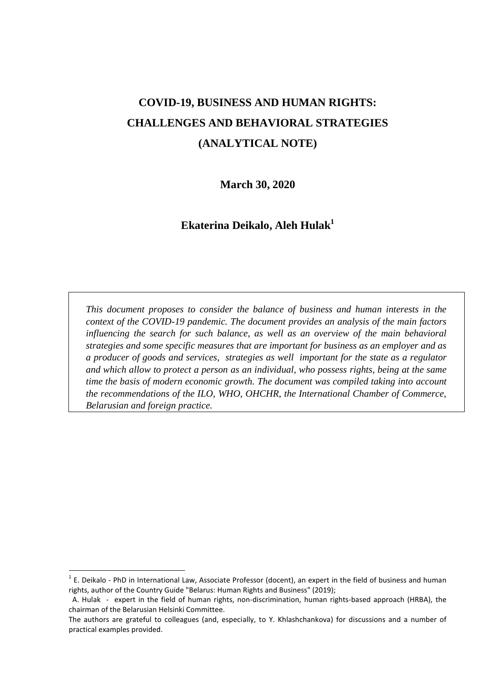# **COVID-19, BUSINESS AND HUMAN RIGHTS: CHALLENGES AND BEHAVIORAL STRATEGIES (ANALYTICAL NOTE)**

**March 30, 2020**

**Ekaterina Deikalo, Aleh Hulak<sup>1</sup>**

*This document proposes to consider the balance of business and human interests in the context of the COVID-19 pandemic. The document provides an analysis of the main factors influencing the search for such balance, as well as an overview of the main behavioral strategies and some specific measures that are important for business as an employer and as a producer of goods and services, strategies as well important for the state as a regulator and which allow to protect a person as an individual, who possess rights, being at the same time the basis of modern economic growth. The document was compiled taking into account the recommendations of the ILO, WHO, OHCHR, the International Chamber of Commerce, Belarusian and foreign practice.* 

 $1$  E. Deikalo - PhD in International Law, Associate Professor (docent), an expert in the field of business and human rights, author of the Country Guide "Belarus: Human Rights and Business" (2019);

A. Hulak - expert in the field of human rights, non-discrimination, human rights-based approach (HRBA), the chairman of the Belarusian Helsinki Committee.

The authors are grateful to colleagues (and, especially, to Y. Khlashchankova) for discussions and a number of practical examples provided.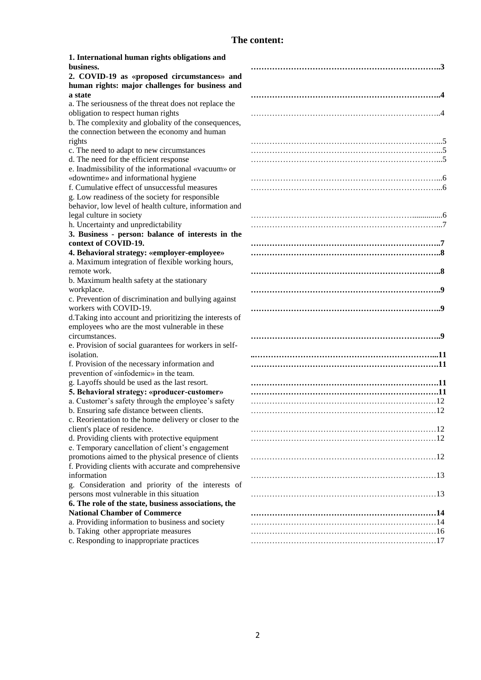# **The content:**

| 1. International human rights obligations and           |  |
|---------------------------------------------------------|--|
| business.                                               |  |
| 2. COVID-19 as «proposed circumstances» and             |  |
| human rights: major challenges for business and         |  |
| a state                                                 |  |
| a. The seriousness of the threat does not replace the   |  |
| obligation to respect human rights                      |  |
| b. The complexity and globality of the consequences,    |  |
| the connection between the economy and human            |  |
| rights                                                  |  |
| c. The need to adapt to new circumstances               |  |
| d. The need for the efficient response                  |  |
| e. Inadmissibility of the informational «vacuum» or     |  |
| «downtime» and informational hygiene                    |  |
| f. Cumulative effect of unsuccessful measures           |  |
| g. Low readiness of the society for responsible         |  |
|                                                         |  |
| behavior, low level of health culture, information and  |  |
| legal culture in society                                |  |
| h. Uncertainty and unpredictability                     |  |
| 3. Business - person: balance of interests in the       |  |
| context of COVID-19.                                    |  |
| 4. Behavioral strategy: «employer-employee»             |  |
| a. Maximum integration of flexible working hours,       |  |
| remote work.                                            |  |
| b. Maximum health safety at the stationary              |  |
| workplace.                                              |  |
| c. Prevention of discrimination and bullying against    |  |
| workers with COVID-19.                                  |  |
| d.Taking into account and prioritizing the interests of |  |
| employees who are the most vulnerable in these          |  |
| circumstances.                                          |  |
| e. Provision of social guarantees for workers in self-  |  |
| isolation.                                              |  |
| f. Provision of the necessary information and           |  |
| prevention of «infodemic» in the team.                  |  |
| g. Layoffs should be used as the last resort.           |  |
| 5. Behavioral strategy: «producer-customer»             |  |
| a. Customer's safety through the employee's safety      |  |
| b. Ensuring safe distance between clients.              |  |
| c. Reorientation to the home delivery or closer to the  |  |
| client's place of residence.                            |  |
| d. Providing clients with protective equipment          |  |
| e. Temporary cancellation of client's engagement        |  |
| promotions aimed to the physical presence of clients    |  |
| f. Providing clients with accurate and comprehensive    |  |
| information                                             |  |
| g. Consideration and priority of the interests of       |  |
| persons most vulnerable in this situation               |  |
| 6. The role of the state, business associations, the    |  |
| <b>National Chamber of Commerce</b>                     |  |
| a. Providing information to business and society        |  |
| b. Taking other appropriate measures                    |  |
| c. Responding to inappropriate practices                |  |
|                                                         |  |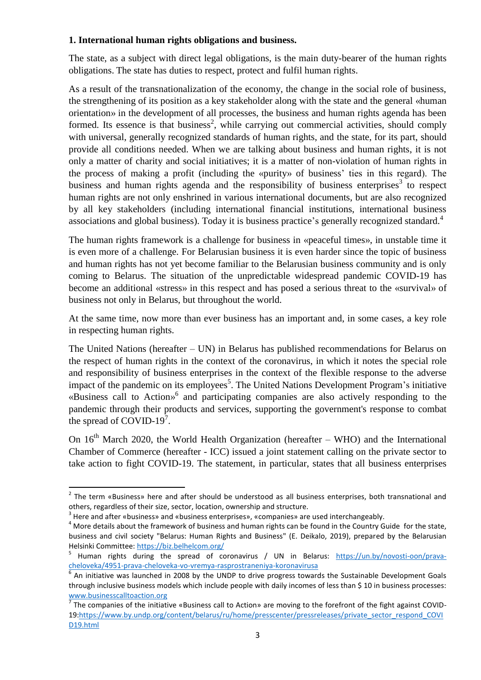#### **1. International human rights obligations and business.**

The state, as a subject with direct legal obligations, is the main duty-bearer of the human rights obligations. The state has duties to respect, protect and fulfil human rights.

As a result of the transnationalization of the economy, the change in the social role of business, the strengthening of its position as a key stakeholder along with the state and the general «human orientation» in the development of all processes, the business and human rights agenda has been formed. Its essence is that business<sup>2</sup>, while carrying out commercial activities, should comply with universal, generally recognized standards of human rights, and the state, for its part, should provide all conditions needed. When we are talking about business and human rights, it is not only a matter of charity and social initiatives; it is a matter of non-violation of human rights in the process of making a profit (including the «purity» of business' ties in this regard). The business and human rights agenda and the responsibility of business enterprises<sup>3</sup> to respect human rights are not only enshrined in various international documents, but are also recognized by all key stakeholders (including international financial institutions, international business associations and global business). Today it is business practice's generally recognized standard.<sup>4</sup>

The human rights framework is a challenge for business in «peaceful times», in unstable time it is even more of a challenge. For Belarusian business it is even harder since the topic of business and human rights has not yet become familiar to the Belarusian business community and is only coming to Belarus. The situation of the unpredictable widespread pandemic COVID-19 has become an additional «stress» in this respect and has posed a serious threat to the «survival» of business not only in Belarus, but throughout the world.

At the same time, now more than ever business has an important and, in some cases, a key role in respecting human rights.

The United Nations (hereafter – UN) in Belarus has published recommendations for Belarus on the respect of human rights in the context of the coronavirus, in which it notes the special role and responsibility of business enterprises in the context of the flexible response to the adverse impact of the pandemic on its employees<sup>5</sup>. The United Nations Development Program's initiative «Business call to Action» 6 and participating companies are also actively responding to the pandemic through their products and services, supporting the government's response to combat the spread of COVID-19<sup>7</sup>.

On  $16<sup>th</sup>$  March 2020, the World Health Organization (hereafter – WHO) and the International Chamber of Commerce (hereafter - ICC) issued a joint statement calling on the private sector to take action to fight COVID-19. The statement, in particular, states that all business enterprises

<sup>&</sup>lt;sup>2</sup> The term «Business» here and after should be understood as all business enterprises, both transnational and others, regardless of their size, sector, location, ownership and structure.

 $3$  Here and after «business» and «business enterprises», «companies» are used interchangeably.

 $4$  More details about the framework of business and human rights can be found in the Country Guide for the state, business and civil society "Belarus: Human Rights and Business" (E. Deikalo, 2019), prepared by the Belarusian Helsinki Committee[: https://biz.belhelcom.org/](https://biz.belhelcom.org/)

<sup>&</sup>lt;sup>5</sup> Human rights during the spread of coronavirus / UN in Belarus: [https://un.by/novosti-oon/prava](https://un.by/novosti-oon/prava-cheloveka/4951-prava-cheloveka-vo-vremya-rasprostraneniya-koronavirusa)[cheloveka/4951-prava-cheloveka-vo-vremya-rasprostraneniya-koronavirusa](https://un.by/novosti-oon/prava-cheloveka/4951-prava-cheloveka-vo-vremya-rasprostraneniya-koronavirusa)  6

An initiative was launched in 2008 by the UNDP to drive progress towards the Sustainable Development Goals through inclusive business models which include people with daily incomes of less than \$ 10 in business processes: [www.businesscalltoaction.org](http://www.businesscalltoaction.org/)

The companies of the initiative «Business call to Action» are moving to the forefront of the fight against COVID-19[:https://www.by.undp.org/content/belarus/ru/home/presscenter/pressreleases/private\\_sector\\_respond\\_COVI](https://www.by.undp.org/content/belarus/ru/home/presscenter/pressreleases/private_sector_respond_COVID19.html) [D19.html](https://www.by.undp.org/content/belarus/ru/home/presscenter/pressreleases/private_sector_respond_COVID19.html)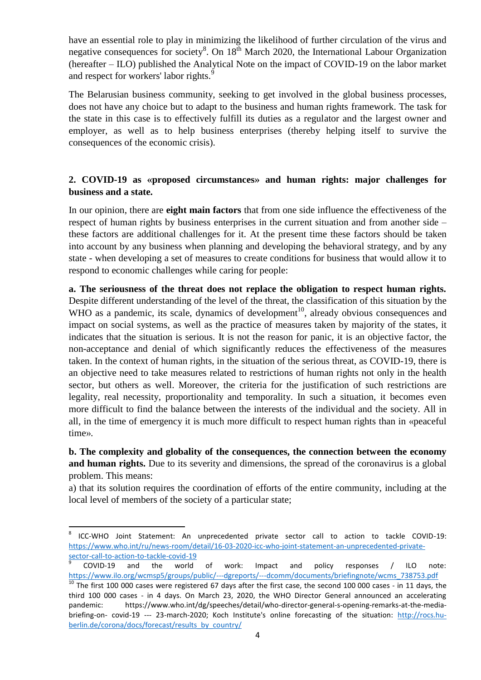have an essential role to play in minimizing the likelihood of further circulation of the virus and negative consequences for society<sup>8</sup>. On 18<sup>th</sup> March 2020, the International Labour Organization (hereafter – ILO) published the Analytical Note on the impact of COVID-19 on the labor market and respect for workers' labor rights.<sup>9</sup>

The Belarusian business community, seeking to get involved in the global business processes, does not have any choice but to adapt to the business and human rights framework. The task for the state in this case is to effectively fulfill its duties as a regulator and the largest owner and employer, as well as to help business enterprises (thereby helping itself to survive the consequences of the economic crisis).

# **2. COVID-19 as «proposed circumstances» and human rights: major challenges for business and a state.**

In our opinion, there are **eight main factors** that from one side influence the effectiveness of the respect of human rights by business enterprises in the current situation and from another side – these factors are additional challenges for it. At the present time these factors should be taken into account by any business when planning and developing the behavioral strategy, and by any state - when developing a set of measures to create conditions for business that would allow it to respond to economic challenges while caring for people:

**a. The seriousness of the threat does not replace the obligation to respect human rights.** Despite different understanding of the level of the threat, the classification of this situation by the WHO as a pandemic, its scale, dynamics of development<sup>10</sup>, already obvious consequences and impact on social systems, as well as the practice of measures taken by majority of the states, it indicates that the situation is serious. It is not the reason for panic, it is an objective factor, the non-acceptance and denial of which significantly reduces the effectiveness of the measures taken. In the context of human rights, in the situation of the serious threat, as COVID-19, there is an objective need to take measures related to restrictions of human rights not only in the health sector, but others as well. Moreover, the criteria for the justification of such restrictions are legality, real necessity, proportionality and temporality. In such a situation, it becomes even more difficult to find the balance between the interests of the individual and the society. All in all, in the time of emergency it is much more difficult to respect human rights than in «peaceful time».

**b. The complexity and globality of the consequences, the connection between the economy and human rights.** Due to its severity and dimensions, the spread of the coronavirus is a global problem. This means:

a) that its solution requires the coordination of efforts of the entire community, including at the local level of members of the society of a particular state;

<sup>-&</sup>lt;br>8 ICC-WHO Joint Statement: An unprecedented private sector call to action to tackle COVID-19: [https://www.who.int/ru/news-room/detail/16-03-2020-icc-who-joint-statement-an-unprecedented-private](https://www.who.int/ru/news-room/detail/16-03-2020-icc-who-joint-statement-an-unprecedented-private-sector-call-to-action-to-tackle-covid-19)[sector-call-to-action-to-tackle-covid-19](https://www.who.int/ru/news-room/detail/16-03-2020-icc-who-joint-statement-an-unprecedented-private-sector-call-to-action-to-tackle-covid-19)

<sup>9</sup> COVID-19 and the world of work: Impact and policy responses / ILO note: [https://www.ilo.org/wcmsp5/groups/public/---dgreports/---dcomm/documents/briefingnote/wcms\\_738753.pdf](https://www.ilo.org/wcmsp5/groups/public/---dgreports/---dcomm/documents/briefingnote/wcms_738753.pdf)

 $10$  The first 100 000 cases were registered 67 days after the first case, the second 100 000 cases - in 11 days, the third 100 000 cases - in 4 days. On March 23, 2020, the WHO Director General announced an accelerating pandemic: https://www.who.int/dg/speeches/detail/who-director-general-s-opening-remarks-at-the-mediabriefing-on- covid-19 --- 23-march-2020; Koch Institute's online forecasting of the situation: [http://rocs.hu](http://rocs.hu-berlin.de/corona/docs/forecast/results_by_country/)[berlin.de/corona/docs/forecast/results\\_by\\_country/](http://rocs.hu-berlin.de/corona/docs/forecast/results_by_country/)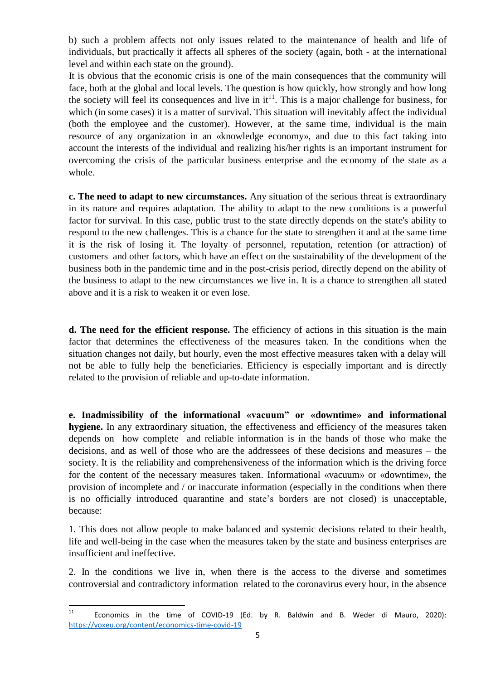b) such a problem affects not only issues related to the maintenance of health and life of individuals, but practically it affects all spheres of the society (again, both - at the international level and within each state on the ground).

It is obvious that the economic crisis is one of the main consequences that the community will face, both at the global and local levels. The question is how quickly, how strongly and how long the society will feel its consequences and live in  $it^{11}$ . This is a major challenge for business, for which (in some cases) it is a matter of survival. This situation will inevitably affect the individual (both the employee and the customer). However, at the same time, individual is the main resource of any organization in an «knowledge economy», and due to this fact taking into account the interests of the individual and realizing his/her rights is an important instrument for overcoming the crisis of the particular business enterprise and the economy of the state as a whole.

**c. The need to adapt to new circumstances.** Any situation of the serious threat is extraordinary in its nature and requires adaptation. The ability to adapt to the new conditions is a powerful factor for survival. In this case, public trust to the state directly depends on the state's ability to respond to the new challenges. This is a chance for the state to strengthen it and at the same time it is the risk of losing it. The loyalty of personnel, reputation, retention (or attraction) of customers and other factors, which have an effect on the sustainability of the development of the business both in the pandemic time and in the post-crisis period, directly depend on the ability of the business to adapt to the new circumstances we live in. It is a chance to strengthen all stated above and it is a risk to weaken it or even lose.

**d. The need for the efficient response.** The efficiency of actions in this situation is the main factor that determines the effectiveness of the measures taken. In the conditions when the situation changes not daily, but hourly, even the most effective measures taken with a delay will not be able to fully help the beneficiaries. Efficiency is especially important and is directly related to the provision of reliable and up-to-date information.

**e. Inadmissibility of the informational «vacuum" or «downtime» and informational hygiene.** In any extraordinary situation, the effectiveness and efficiency of the measures taken depends on how complete and reliable information is in the hands of those who make the decisions, and as well of those who are the addressees of these decisions and measures – the society. It is the reliability and comprehensiveness of the information which is the driving force for the content of the necessary measures taken. Informational «vacuum» or «downtime», the provision of incomplete and / or inaccurate information (especially in the conditions when there is no officially introduced quarantine and state's borders are not closed) is unacceptable, because:

1. This does not allow people to make balanced and systemic decisions related to their health, life and well-being in the case when the measures taken by the state and business enterprises are insufficient and ineffective.

2. In the conditions we live in, when there is the access to the diverse and sometimes controversial and contradictory information related to the coronavirus every hour, in the absence

 $\frac{1}{11}$  Economics in the time of COVID-19 (Ed. by R. Baldwin and B. Weder di Mauro, 2020): <https://voxeu.org/content/economics-time-covid-19>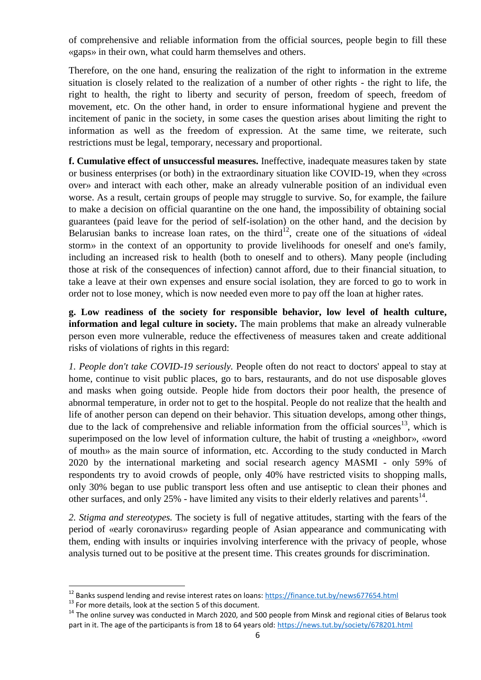of comprehensive and reliable information from the official sources, people begin to fill these «gaps» in their own, what could harm themselves and others.

Therefore, on the one hand, ensuring the realization of the right to information in the extreme situation is closely related to the realization of a number of other rights - the right to life, the right to health, the right to liberty and security of person, freedom of speech, freedom of movement, etc. On the other hand, in order to ensure informational hygiene and prevent the incitement of panic in the society, in some cases the question arises about limiting the right to information as well as the freedom of expression. At the same time, we reiterate, such restrictions must be legal, temporary, necessary and proportional.

**f. Cumulative effect of unsuccessful measures.** Ineffective, inadequate measures taken by state or business enterprises (or both) in the extraordinary situation like COVID-19, when they «cross over» and interact with each other, make an already vulnerable position of an individual even worse. As a result, certain groups of people may struggle to survive. So, for example, the failure to make a decision on official quarantine on the one hand, the impossibility of obtaining social guarantees (paid leave for the period of self-isolation) on the other hand, and the decision by Belarusian banks to increase loan rates, on the third<sup>12</sup>, create one of the situations of «ideal storm» in the context of an opportunity to provide livelihoods for oneself and one's family, including an increased risk to health (both to oneself and to others). Many people (including those at risk of the consequences of infection) cannot afford, due to their financial situation, to take a leave at their own expenses and ensure social isolation, they are forced to go to work in order not to lose money, which is now needed even more to pay off the loan at higher rates.

**g. Low readiness of the society for responsible behavior, low level of health culture, information and legal culture in society.** The main problems that make an already vulnerable person even more vulnerable, reduce the effectiveness of measures taken and create additional risks of violations of rights in this regard:

*1. People don't take COVID-19 seriously.* People often do not react to doctors' appeal to stay at home, continue to visit public places, go to bars, restaurants, and do not use disposable gloves and masks when going outside. People hide from doctors their poor health, the presence of abnormal temperature, in order not to get to the hospital. People do not realize that the health and life of another person can depend on their behavior. This situation develops, among other things, due to the lack of comprehensive and reliable information from the official sources<sup>13</sup>, which is superimposed on the low level of information culture, the habit of trusting a «neighbor», «word of mouth» as the main source of information, etc. According to the study conducted in March 2020 by the international marketing and social research agency MASMI - only 59% of respondents try to avoid crowds of people, only 40% have restricted visits to shopping malls, only 30% began to use public transport less often and use antiseptic to clean their phones and other surfaces, and only 25% - have limited any visits to their elderly relatives and parents<sup>14</sup>.

*2. Stigma and stereotypes.* The society is full of negative attitudes, starting with the fears of the period of «early coronavirus» regarding people of Asian appearance and communicating with them, ending with insults or inquiries involving interference with the privacy of people, whose analysis turned out to be positive at the present time. This creates grounds for discrimination.

<sup>&</sup>lt;sup>12</sup> Banks suspend lending and revise interest rates on loans:<https://finance.tut.by/news677654.html>

<sup>&</sup>lt;sup>13</sup> For more details, look at the section 5 of this document.

<sup>&</sup>lt;sup>14</sup> The online survey was conducted in March 2020, and 500 people from Minsk and regional cities of Belarus took part in it. The age of the participants is from 18 to 64 years old:<https://news.tut.by/society/678201.html>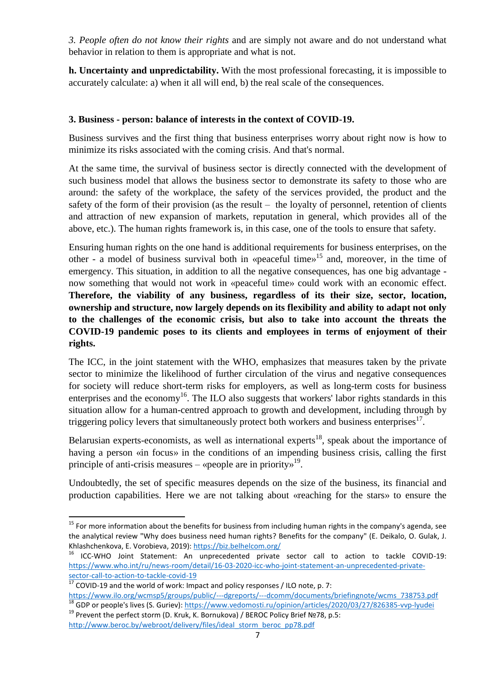*3. People often do not know their rights* and are simply not aware and do not understand what behavior in relation to them is appropriate and what is not.

**h. Uncertainty and unpredictability.** With the most professional forecasting, it is impossible to accurately calculate: a) when it all will end, b) the real scale of the consequences.

### **3. Business - person: balance of interests in the context of COVID-19.**

Business survives and the first thing that business enterprises worry about right now is how to minimize its risks associated with the coming crisis. And that's normal.

At the same time, the survival of business sector is directly connected with the development of such business model that allows the business sector to demonstrate its safety to those who are around: the safety of the workplace, the safety of the services provided, the product and the safety of the form of their provision (as the result – the loyalty of personnel, retention of clients and attraction of new expansion of markets, reputation in general, which provides all of the above, etc.). The human rights framework is, in this case, one of the tools to ensure that safety.

Ensuring human rights on the one hand is additional requirements for business enterprises, on the other - a model of business survival both in «peaceful time»<sup>15</sup> and, moreover, in the time of emergency. This situation, in addition to all the negative consequences, has one big advantage now something that would not work in «peaceful time» could work with an economic effect. **Therefore, the viability of any business, regardless of its their size, sector, location, ownership and structure, now largely depends on its flexibility and ability to adapt not only to the challenges of the economic crisis, but also to take into account the threats the COVID-19 pandemic poses to its clients and employees in terms of enjoyment of their rights.**

The ICC, in the joint statement with the WHO, emphasizes that measures taken by the private sector to minimize the likelihood of further circulation of the virus and negative consequences for society will reduce short-term risks for employers, as well as long-term costs for business enterprises and the economy<sup>16</sup>. The ILO also suggests that workers' labor rights standards in this situation allow for a human-centred approach to growth and development, including through by triggering policy levers that simultaneously protect both workers and business enterprises $^{17}$ .

Belarusian experts-economists, as well as international experts $^{18}$ , speak about the importance of having a person «in focus» in the conditions of an impending business crisis, calling the first principle of anti-crisis measures  $-$  «people are in priority»<sup>19</sup>.

Undoubtedly, the set of specific measures depends on the size of the business, its financial and production capabilities. Here we are not talking about «reaching for the stars» to ensure the

<sup>&</sup>lt;sup>15</sup> For more information about the benefits for business from including human rights in the company's agenda, see the analytical review "Why does business need human rights? Benefits for the company" (E. Deikalo, O. Gulak, J. Khlashchenkova, E. Vorobieva, 2019)[: https://biz.belhelcom.org/](https://biz.belhelcom.org/)

<sup>&</sup>lt;sup>16</sup> ICC-WHO Joint Statement: An unprecedented private sector call to action to tackle COVID-19: [https://www.who.int/ru/news-room/detail/16-03-2020-icc-who-joint-statement-an-unprecedented-private](https://www.who.int/ru/news-room/detail/16-03-2020-icc-who-joint-statement-an-unprecedented-private-sector-call-to-action-to-tackle-covid-19)[sector-call-to-action-to-tackle-covid-19](https://www.who.int/ru/news-room/detail/16-03-2020-icc-who-joint-statement-an-unprecedented-private-sector-call-to-action-to-tackle-covid-19)

 $\frac{17}{17}$  COVID-19 and the world of work: Impact and policy responses / ILO note, p. 7:

[https://www.ilo.org/wcmsp5/groups/public/---dgreports/---dcomm/documents/briefingnote/wcms\\_738753.pdf](https://www.ilo.org/wcmsp5/groups/public/---dgreports/---dcomm/documents/briefingnote/wcms_738753.pdf) <sup>18</sup> GDP or people's lives (S. Guriev)[: https://www.vedomosti.ru/opinion/articles/2020/03/27/826385-vvp-lyudei](https://www.vedomosti.ru/opinion/articles/2020/03/27/826385-vvp-lyudei)

<sup>&</sup>lt;sup>19</sup> Prevent the perfect storm (D. Kruk, K. Bornukova) / BEROC Policy Brief №78, p.5: [http://www.beroc.by/webroot/delivery/files/ideal\\_storm\\_beroc\\_pp78.pdf](http://www.beroc.by/webroot/delivery/files/ideal_storm_beroc_pp78.pdf)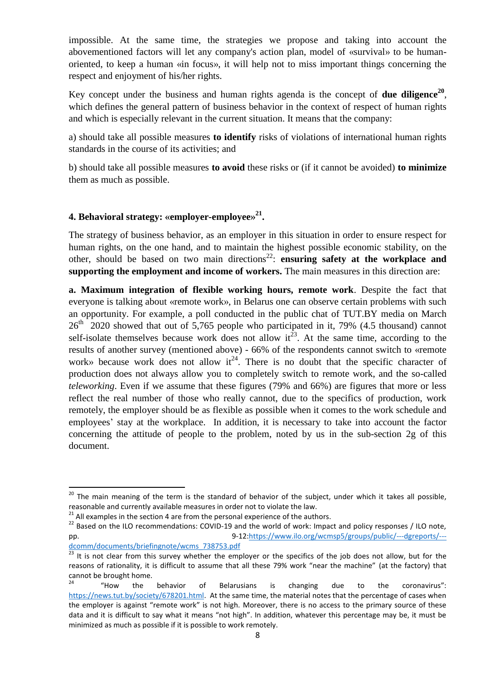impossible. At the same time, the strategies we propose and taking into account the abovementioned factors will let any company's action plan, model of «survival» to be humanoriented, to keep a human «in focus», it will help not to miss important things concerning the respect and enjoyment of his/her rights.

Key concept under the business and human rights agenda is the concept of **due diligence<sup>20</sup>** , which defines the general pattern of business behavior in the context of respect of human rights and which is especially relevant in the current situation. It means that the company:

a) should take all possible measures **to identify** risks of violations of international human rights standards in the course of its activities; and

b) should take all possible measures **to avoid** these risks or (if it cannot be avoided) **to minimize** them as much as possible.

# **4. Behavioral strategy: «employer-employee» 21 .**

The strategy of business behavior, as an employer in this situation in order to ensure respect for human rights, on the one hand, and to maintain the highest possible economic stability, on the other, should be based on two main directions<sup>22</sup>: ensuring safety at the workplace and **supporting the employment and income of workers.** The main measures in this direction are:

**a. Maximum integration of flexible working hours, remote work**. Despite the fact that everyone is talking about «remote work», in Belarus one can observe certain problems with such an opportunity. For example, a poll conducted in the public chat of TUT.BY media on March  $26<sup>th</sup>$  2020 showed that out of 5,765 people who participated in it, 79% (4.5 thousand) cannot self-isolate themselves because work does not allow  $it^{23}$ . At the same time, according to the results of another survey (mentioned above) - 66% of the respondents cannot switch to «remote work» because work does not allow  $it^{24}$ . There is no doubt that the specific character of production does not always allow you to completely switch to remote work, and the so-called *teleworking*. Even if we assume that these figures (79% and 66%) are figures that more or less reflect the real number of those who really cannot, due to the specifics of production, work remotely, the employer should be as flexible as possible when it comes to the work schedule and employees' stay at the workplace. In addition, it is necessary to take into account the factor concerning the attitude of people to the problem, noted by us in the sub-section 2g of this document.

<sup>&</sup>lt;sup>20</sup> The main meaning of the term is the standard of behavior of the subject, under which it takes all possible, reasonable and currently available measures in order not to violate the law.

 $21$  All examples in the section 4 are from the personal experience of the authors.

<sup>&</sup>lt;sup>22</sup> Based on the ILO recommendations: COVID-19 and the world of work: Impact and policy responses / ILO note, pp. 9-12[:https://www.ilo.org/wcmsp5/groups/public/---dgreports/--](https://www.ilo.org/wcmsp5/groups/public/---dgreports/---dcomm/documents/briefingnote/wcms_738753.pdf) [dcomm/documents/briefingnote/wcms\\_738753.pdf](https://www.ilo.org/wcmsp5/groups/public/---dgreports/---dcomm/documents/briefingnote/wcms_738753.pdf) 

<sup>23</sup> It is not clear from this survey whether the employer or the specifics of the job does not allow, but for the reasons of rationality, it is difficult to assume that all these 79% work "near the machine" (at the factory) that cannot be brought home.

 $24$  "How the behavior of Belarusians is changing due to the coronavirus": [https://news.tut.by/society/678201.html.](https://news.tut.by/society/678201.html) At the same time, the material notes that the percentage of cases when the employer is against "remote work" is not high. Moreover, there is no access to the primary source of these data and it is difficult to say what it means "not high". In addition, whatever this percentage may be, it must be minimized as much as possible if it is possible to work remotely.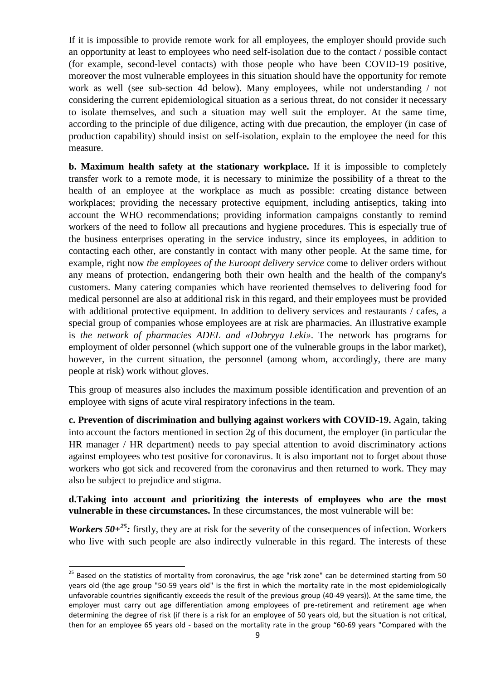If it is impossible to provide remote work for all employees, the employer should provide such an opportunity at least to employees who need self-isolation due to the contact / possible contact (for example, second-level contacts) with those people who have been COVID-19 positive, moreover the most vulnerable employees in this situation should have the opportunity for remote work as well (see sub-section 4d below). Many employees, while not understanding / not considering the current epidemiological situation as a serious threat, do not consider it necessary to isolate themselves, and such a situation may well suit the employer. At the same time, according to the principle of due diligence, acting with due precaution, the employer (in case of production capability) should insist on self-isolation, explain to the employee the need for this measure.

**b. Maximum health safety at the stationary workplace.** If it is impossible to completely transfer work to a remote mode, it is necessary to minimize the possibility of a threat to the health of an employee at the workplace as much as possible: creating distance between workplaces; providing the necessary protective equipment, including antiseptics, taking into account the WHO recommendations; providing information campaigns constantly to remind workers of the need to follow all precautions and hygiene procedures. This is especially true of the business enterprises operating in the service industry, since its employees, in addition to contacting each other, are constantly in contact with many other people. At the same time, for example, right now *the employees of the Euroopt delivery service* come to deliver orders without any means of protection, endangering both their own health and the health of the company's customers. Many catering companies which have reoriented themselves to delivering food for medical personnel are also at additional risk in this regard, and their employees must be provided with additional protective equipment. In addition to delivery services and restaurants / cafes, a special group of companies whose employees are at risk are pharmacies. An illustrative example is *the network of pharmacies ADEL and «Dobryya Leki»*. The network has programs for employment of older personnel (which support one of the vulnerable groups in the labor market), however, in the current situation, the personnel (among whom, accordingly, there are many people at risk) work without gloves.

This group of measures also includes the maximum possible identification and prevention of an employee with signs of acute viral respiratory infections in the team.

**c. Prevention of discrimination and bullying against workers with COVID-19.** Again, taking into account the factors mentioned in section 2g of this document, the employer (in particular the HR manager / HR department) needs to pay special attention to avoid discriminatory actions against employees who test positive for coronavirus. It is also important not to forget about those workers who got sick and recovered from the coronavirus and then returned to work. They may also be subject to prejudice and stigma.

**d.Taking into account and prioritizing the interests of employees who are the most vulnerable in these circumstances.** In these circumstances, the most vulnerable will be:

*Workers*  $50+^{25}$ : firstly, they are at risk for the severity of the consequences of infection. Workers who live with such people are also indirectly vulnerable in this regard. The interests of these

<sup>&</sup>lt;sup>25</sup> Based on the statistics of mortality from coronavirus, the age "risk zone" can be determined starting from 50 years old (the age group "50-59 years old" is the first in which the mortality rate in the most epidemiologically unfavorable countries significantly exceeds the result of the previous group (40-49 years)). At the same time, the employer must carry out age differentiation among employees of pre-retirement and retirement age when determining the degree of risk (if there is a risk for an employee of 50 years old, but the situation is not critical, then for an employee 65 years old - based on the mortality rate in the group "60-69 years "Compared with the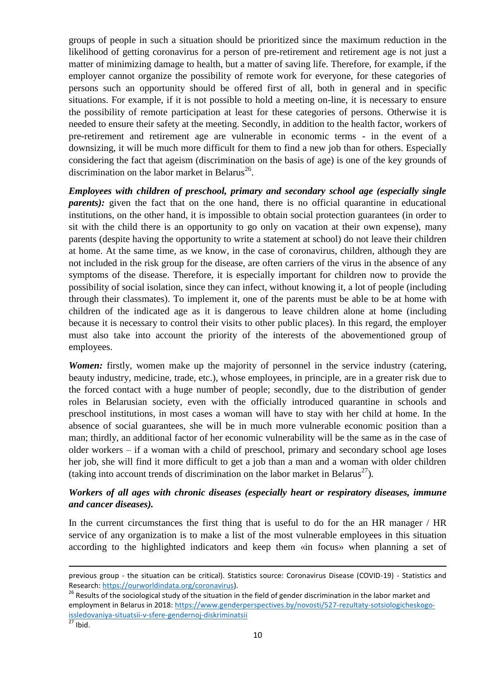groups of people in such a situation should be prioritized since the maximum reduction in the likelihood of getting coronavirus for a person of pre-retirement and retirement age is not just a matter of minimizing damage to health, but a matter of saving life. Therefore, for example, if the employer cannot organize the possibility of remote work for everyone, for these categories of persons such an opportunity should be offered first of all, both in general and in specific situations. For example, if it is not possible to hold a meeting on-line, it is necessary to ensure the possibility of remote participation at least for these categories of persons. Otherwise it is needed to ensure their safety at the meeting. Secondly, in addition to the health factor, workers of pre-retirement and retirement age are vulnerable in economic terms - in the event of a downsizing, it will be much more difficult for them to find a new job than for others. Especially considering the fact that ageism (discrimination on the basis of age) is one of the key grounds of discrimination on the labor market in Belarus<sup>26</sup>.

*Employees with children of preschool, primary and secondary school age (especially single parents*): given the fact that on the one hand, there is no official quarantine in educational institutions, on the other hand, it is impossible to obtain social protection guarantees (in order to sit with the child there is an opportunity to go only on vacation at their own expense), many parents (despite having the opportunity to write a statement at school) do not leave their children at home. At the same time, as we know, in the case of coronavirus, children, although they are not included in the risk group for the disease, are often carriers of the virus in the absence of any symptoms of the disease. Therefore, it is especially important for children now to provide the possibility of social isolation, since they can infect, without knowing it, a lot of people (including through their classmates). To implement it, one of the parents must be able to be at home with children of the indicated age as it is dangerous to leave children alone at home (including because it is necessary to control their visits to other public places). In this regard, the employer must also take into account the priority of the interests of the abovementioned group of employees.

*Women:* firstly, women make up the majority of personnel in the service industry (catering, beauty industry, medicine, trade, etc.), whose employees, in principle, are in a greater risk due to the forced contact with a huge number of people; secondly, due to the distribution of gender roles in Belarusian society, even with the officially introduced quarantine in schools and preschool institutions, in most cases a woman will have to stay with her child at home. In the absence of social guarantees, she will be in much more vulnerable economic position than a man; thirdly, an additional factor of her economic vulnerability will be the same as in the case of older workers – if a woman with a child of preschool, primary and secondary school age loses her job, she will find it more difficult to get a job than a man and a woman with older children (taking into account trends of discrimination on the labor market in Belarus<sup>27</sup>).

### *Workers of all ages with chronic diseases (especially heart or respiratory diseases, immune and cancer diseases).*

In the current circumstances the first thing that is useful to do for the an HR manager / HR service of any organization is to make a list of the most vulnerable employees in this situation according to the highlighted indicators and keep them «in focus» when planning a set of

previous group - the situation can be critical). Statistics source: Coronavirus Disease (COVID-19) - Statistics and Research: [https://ourworldindata.org/coronavirus\)](https://ourworldindata.org/coronavirus).

<sup>&</sup>lt;sup>26</sup> Results of the sociological study of the situation in the field of gender discrimination in the labor market and employment in Belarus in 2018[: https://www.genderperspectives.by/novosti/527-rezultaty-sotsiologicheskogo](https://www.genderperspectives.by/novosti/527-rezultaty-sotsiologicheskogo-issledovaniya-situatsii-v-sfere-gendernoj-diskriminatsii)[issledovaniya-situatsii-v-sfere-gendernoj-diskriminatsii](https://www.genderperspectives.by/novosti/527-rezultaty-sotsiologicheskogo-issledovaniya-situatsii-v-sfere-gendernoj-diskriminatsii)

 $\frac{27}{27}$  Ibid.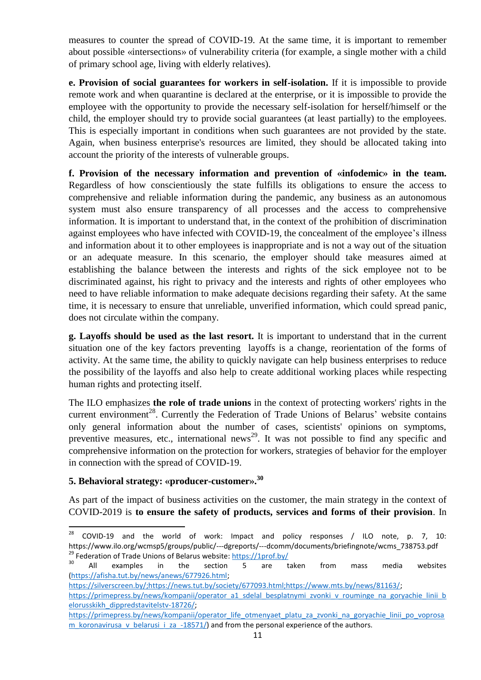measures to counter the spread of COVID-19. At the same time, it is important to remember about possible «intersections» of vulnerability criteria (for example, a single mother with a child of primary school age, living with elderly relatives).

**e. Provision of social guarantees for workers in self-isolation.** If it is impossible to provide remote work and when quarantine is declared at the enterprise, or it is impossible to provide the employee with the opportunity to provide the necessary self-isolation for herself/himself or the child, the employer should try to provide social guarantees (at least partially) to the employees. This is especially important in conditions when such guarantees are not provided by the state. Again, when business enterprise's resources are limited, they should be allocated taking into account the priority of the interests of vulnerable groups.

**f. Provision of the necessary information and prevention of «infodemic» in the team.**  Regardless of how conscientiously the state fulfills its obligations to ensure the access to comprehensive and reliable information during the pandemic, any business as an autonomous system must also ensure transparency of all processes and the access to comprehensive information. It is important to understand that, in the context of the prohibition of discrimination against employees who have infected with COVID-19, the concealment of the employee's illness and information about it to other employees is inappropriate and is not a way out of the situation or an adequate measure. In this scenario, the employer should take measures aimed at establishing the balance between the interests and rights of the sick employee not to be discriminated against, his right to privacy and the interests and rights of other employees who need to have reliable information to make adequate decisions regarding their safety. At the same time, it is necessary to ensure that unreliable, unverified information, which could spread panic, does not circulate within the company.

**g. Layoffs should be used as the last resort.** It is important to understand that in the current situation one of the key factors preventing layoffs is a change, reorientation of the forms of activity. At the same time, the ability to quickly navigate can help business enterprises to reduce the possibility of the layoffs and also help to create additional working places while respecting human rights and protecting itself.

The ILO emphasizes **the role of trade unions** in the context of protecting workers' rights in the current environment<sup>28</sup>. Currently the Federation of Trade Unions of Belarus' website contains only general information about the number of cases, scientists' opinions on symptoms, preventive measures, etc., international news<sup>29</sup>. It was not possible to find any specific and comprehensive information on the protection for workers, strategies of behavior for the employer in connection with the spread of COVID-19.

# **5. Behavioral strategy: «producer-customer». 30**

As part of the impact of business activities on the customer, the main strategy in the context of COVID-2019 is **to ensure the safety of products, services and forms of their provision**. In

 ${\bf 28}$ <sup>28</sup> COVID-19 and the world of work: Impact and policy responses / ILO note, p. 7, 10: https://www.ilo.org/wcmsp5/groups/public/---dgreports/---dcomm/documents/briefingnote/wcms\_738753.pdf <sup>29</sup> Federation of Trade Unions of Belarus website:<https://1prof.by/>

 $30$  All examples in the section 5 are taken from mass media websites [\(https://afisha.tut.by/news/anews/677926.html;](https://afisha.tut.by/news/anews/677926.html) 

[https://silverscreen.by/;https://news.tut.by/society/677093.html;https://www.mts.by/news/81163/;](https://silverscreen.by/;https:/news.tut.by/society/677093.html;https:/www.mts.by/news/81163/)

[https://primepress.by/news/kompanii/operator\\_a1\\_sdelal\\_besplatnymi\\_zvonki\\_v\\_rouminge\\_na\\_goryachie\\_linii\\_b](https://primepress.by/news/kompanii/operator_a1_sdelal_besplatnymi_zvonki_v_rouminge_na_goryachie_linii_belorusskikh_dippredstavitelstv-18726/) [elorusskikh\\_dippredstavitelstv-18726/;](https://primepress.by/news/kompanii/operator_a1_sdelal_besplatnymi_zvonki_v_rouminge_na_goryachie_linii_belorusskikh_dippredstavitelstv-18726/)

[https://primepress.by/news/kompanii/operator\\_life\\_otmenyaet\\_platu\\_za\\_zvonki\\_na\\_goryachie\\_linii\\_po\\_voprosa](https://primepress.by/news/kompanii/operator_life_otmenyaet_platu_za_zvonki_na_goryachie_linii_po_voprosam_koronavirusa_v_belarusi_i_za_-18571/) m koronavirusa v belarusi *i za -18571/*) and from the personal experience of the authors.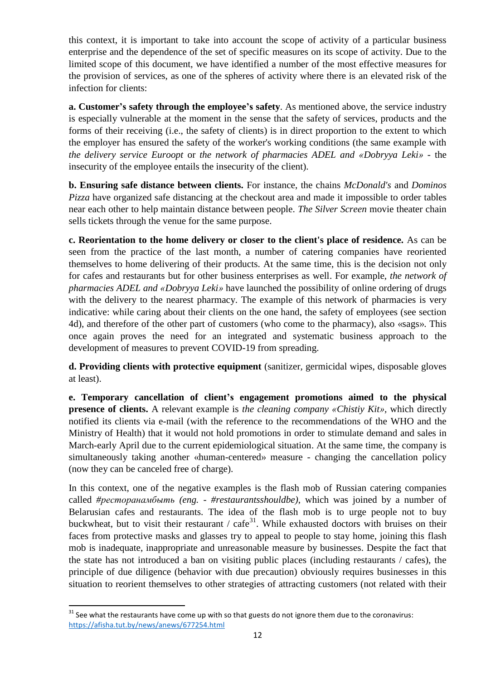this context, it is important to take into account the scope of activity of a particular business enterprise and the dependence of the set of specific measures on its scope of activity. Due to the limited scope of this document, we have identified a number of the most effective measures for the provision of services, as one of the spheres of activity where there is an elevated risk of the infection for clients:

**a. Customer's safety through the employee's safety**. As mentioned above, the service industry is especially vulnerable at the moment in the sense that the safety of services, products and the forms of their receiving (i.e., the safety of clients) is in direct proportion to the extent to which the employer has ensured the safety of the worker's working conditions (the same example with *the delivery service Euroopt* or *the network of pharmacies ADEL and «Dobryya Leki»* - the insecurity of the employee entails the insecurity of the client).

**b. Ensuring safe distance between clients.** For instance, the chains *McDonald's* and *Dominos Pizza* have organized safe distancing at the checkout area and made it impossible to order tables near each other to help maintain distance between people. *The Silver Screen* movie theater chain sells tickets through the venue for the same purpose.

**c. Reorientation to the home delivery or closer to the client's place of residence.** As can be seen from the practice of the last month, a number of catering companies have reoriented themselves to home delivering of their products. At the same time, this is the decision not only for cafes and restaurants but for other business enterprises as well. For example, *the network of pharmacies ADEL and «Dobryya Leki»* have launched the possibility of online ordering of drugs with the delivery to the nearest pharmacy. The example of this network of pharmacies is very indicative: while caring about their clients on the one hand, the safety of employees (see section 4d), and therefore of the other part of customers (who come to the pharmacy), also «sags». This once again proves the need for an integrated and systematic business approach to the development of measures to prevent COVID-19 from spreading.

**d. Providing clients with protective equipment** (sanitizer, germicidal wipes, disposable gloves at least).

**e. Temporary cancellation of client's engagement promotions aimed to the physical presence of clients.** A relevant example is *the cleaning company «Chistiy Kit»,* which directly notified its clients via e-mail (with the reference to the recommendations of the WHO and the Ministry of Health) that it would not hold promotions in order to stimulate demand and sales in March-early April due to the current epidemiological situation. At the same time, the company is simultaneously taking another «human-centered» measure - changing the cancellation policy (now they can be canceled free of charge).

In this context, one of the negative examples is the flash mob of Russian catering companies called *#ресторанамбыть (eng. - #restaurantsshouldbe)*, which was joined by a number of Belarusian cafes and restaurants. The idea of the flash mob is to urge people not to buy buckwheat, but to visit their restaurant / cafe<sup>31</sup>. While exhausted doctors with bruises on their faces from protective masks and glasses try to appeal to people to stay home, joining this flash mob is inadequate, inappropriate and unreasonable measure by businesses. Despite the fact that the state has not introduced a ban on visiting public places (including restaurants / cafes), the principle of due diligence (behavior with due precaution) obviously requires businesses in this situation to reorient themselves to other strategies of attracting customers (not related with their

 $31$  See what the restaurants have come up with so that guests do not ignore them due to the coronavirus: <https://afisha.tut.by/news/anews/677254.html>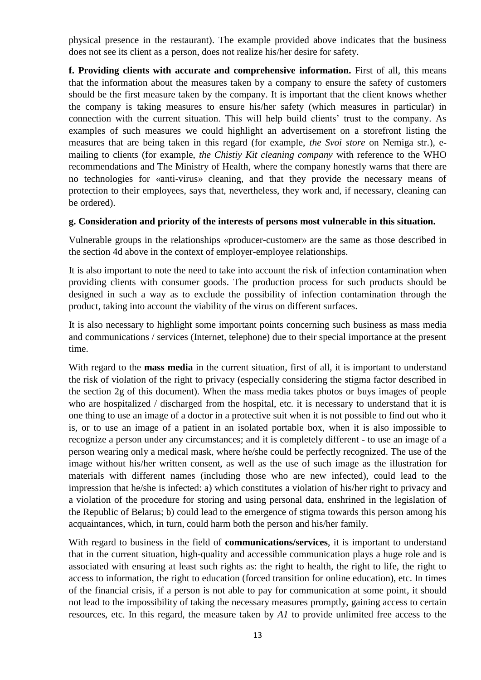physical presence in the restaurant). The example provided above indicates that the business does not see its client as a person, does not realize his/her desire for safety.

**f. Providing clients with accurate and comprehensive information.** First of all, this means that the information about the measures taken by a company to ensure the safety of customers should be the first measure taken by the company. It is important that the client knows whether the company is taking measures to ensure his/her safety (which measures in particular) in connection with the current situation. This will help build clients' trust to the company. As examples of such measures we could highlight an advertisement on a storefront listing the measures that are being taken in this regard (for example, *the Svoi store* on Nemiga str.), emailing to clients (for example, *the Chistiy Kit cleaning company* with reference to the WHO recommendations and The Ministry of Health, where the company honestly warns that there are no technologies for «anti-virus» cleaning, and that they provide the necessary means of protection to their employees, says that, nevertheless, they work and, if necessary, cleaning can be ordered).

#### **g. Consideration and priority of the interests of persons most vulnerable in this situation.**

Vulnerable groups in the relationships «producer-customer» are the same as those described in the section 4d above in the context of employer-employee relationships.

It is also important to note the need to take into account the risk of infection contamination when providing clients with consumer goods. The production process for such products should be designed in such a way as to exclude the possibility of infection contamination through the product, taking into account the viability of the virus on different surfaces.

It is also necessary to highlight some important points concerning such business as mass media and communications / services (Internet, telephone) due to their special importance at the present time.

With regard to the **mass media** in the current situation, first of all, it is important to understand the risk of violation of the right to privacy (especially considering the stigma factor described in the section 2g of this document). When the mass media takes photos or buys images of people who are hospitalized / discharged from the hospital, etc. it is necessary to understand that it is one thing to use an image of a doctor in a protective suit when it is not possible to find out who it is, or to use an image of a patient in an isolated portable box, when it is also impossible to recognize a person under any circumstances; and it is completely different - to use an image of a person wearing only a medical mask, where he/she could be perfectly recognized. The use of the image without his/her written consent, as well as the use of such image as the illustration for materials with different names (including those who are new infected), could lead to the impression that he/she is infected: a) which constitutes a violation of his/her right to privacy and a violation of the procedure for storing and using personal data, enshrined in the legislation of the Republic of Belarus; b) could lead to the emergence of stigma towards this person among his acquaintances, which, in turn, could harm both the person and his/her family.

With regard to business in the field of **communications/services**, it is important to understand that in the current situation, high-quality and accessible communication plays a huge role and is associated with ensuring at least such rights as: the right to health, the right to life, the right to access to information, the right to education (forced transition for online education), etc. In times of the financial crisis, if a person is not able to pay for communication at some point, it should not lead to the impossibility of taking the necessary measures promptly, gaining access to certain resources, etc. In this regard, the measure taken by *A1* to provide unlimited free access to the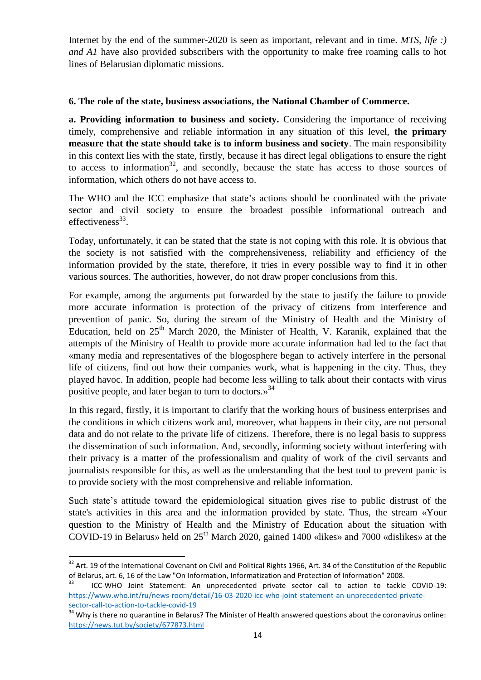Internet by the end of the summer-2020 is seen as important, relevant and in time. *MTS, life :) and A1* have also provided subscribers with the opportunity to make free roaming calls to hot lines of Belarusian diplomatic missions.

#### **6. The role of the state, business associations, the National Chamber of Commerce.**

**a. Providing information to business and society.** Considering the importance of receiving timely, comprehensive and reliable information in any situation of this level, **the primary measure that the state should take is to inform business and society**. The main responsibility in this context lies with the state, firstly, because it has direct legal obligations to ensure the right to access to information<sup>32</sup>, and secondly, because the state has access to those sources of information, which others do not have access to.

The WHO and the ICC emphasize that state's actions should be coordinated with the private sector and civil society to ensure the broadest possible informational outreach and effectiveness $^{33}$ .

Today, unfortunately, it can be stated that the state is not coping with this role. It is obvious that the society is not satisfied with the comprehensiveness, reliability and efficiency of the information provided by the state, therefore, it tries in every possible way to find it in other various sources. The authorities, however, do not draw proper conclusions from this.

For example, among the arguments put forwarded by the state to justify the failure to provide more accurate information is protection of the privacy of citizens from interference and prevention of panic. So, during the stream of the Ministry of Health and the Ministry of Education, held on  $25<sup>th</sup>$  March 2020, the Minister of Health, V. Karanik, explained that the attempts of the Ministry of Health to provide more accurate information had led to the fact that «many media and representatives of the blogosphere began to actively interfere in the personal life of citizens, find out how their companies work, what is happening in the city. Thus, they played havoc. In addition, people had become less willing to talk about their contacts with virus positive people, and later began to turn to doctors.»<sup>34</sup>

In this regard, firstly, it is important to clarify that the working hours of business enterprises and the conditions in which citizens work and, moreover, what happens in their city, are not personal data and do not relate to the private life of citizens. Therefore, there is no legal basis to suppress the dissemination of such information. And, secondly, informing society without interfering with their privacy is a matter of the professionalism and quality of work of the civil servants and journalists responsible for this, as well as the understanding that the best tool to prevent panic is to provide society with the most comprehensive and reliable information.

Such state's attitude toward the epidemiological situation gives rise to public distrust of the state's activities in this area and the information provided by state. Thus, the stream «Your question to the Ministry of Health and the Ministry of Education about the situation with COVID-19 in Belarus» held on  $25<sup>th</sup>$  March 2020, gained 1400 «likes» and 7000 «dislikes» at the

<sup>&</sup>lt;sup>32</sup> Art. 19 of the International Covenant on Civil and Political Rights 1966, Art. 34 of the Constitution of the Republic of Belarus, art. 6, 16 of the Law "On Information, Informatization and Protection of Information" 2008.

<sup>33</sup> ICC-WHO Joint Statement: An unprecedented private sector call to action to tackle COVID-19: [https://www.who.int/ru/news-room/detail/16-03-2020-icc-who-joint-statement-an-unprecedented-private](https://www.who.int/ru/news-room/detail/16-03-2020-icc-who-joint-statement-an-unprecedented-private-sector-call-to-action-to-tackle-covid-19)[sector-call-to-action-to-tackle-covid-19](https://www.who.int/ru/news-room/detail/16-03-2020-icc-who-joint-statement-an-unprecedented-private-sector-call-to-action-to-tackle-covid-19)

**<sup>34</sup> Why is there no quarantine in Belarus?** The Minister of Health answered questions about the coronavirus online: <https://news.tut.by/society/677873.html>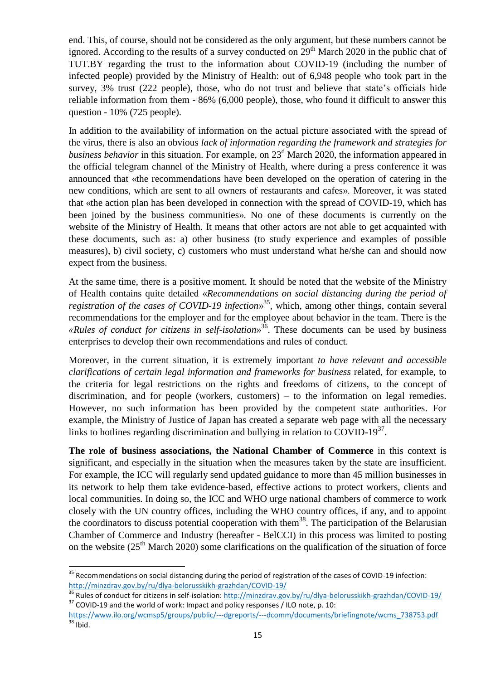end. This, of course, should not be considered as the only argument, but these numbers cannot be ignored. According to the results of a survey conducted on  $29<sup>th</sup>$  March 2020 in the public chat of TUT.BY regarding the trust to the information about COVID-19 (including the number of infected people) provided by the Ministry of Health: out of 6,948 people who took part in the survey, 3% trust (222 people), those, who do not trust and believe that state's officials hide reliable information from them - 86% (6,000 people), those, who found it difficult to answer this question - 10% (725 people).

In addition to the availability of information on the actual picture associated with the spread of the virus, there is also an obvious *lack of information regarding the framework and strategies for business behavior* in this situation. For example, on 23<sup>d</sup> March 2020, the information appeared in the official telegram channel of the Ministry of Health, where during a press conference it was announced that «the recommendations have been developed on the operation of catering in the new conditions, which are sent to all owners of restaurants and cafes». Moreover, it was stated that «the action plan has been developed in connection with the spread of COVID-19, which has been joined by the business communities». No one of these documents is currently on the website of the Ministry of Health. It means that other actors are not able to get acquainted with these documents, such as: a) other business (to study experience and examples of possible measures), b) civil society, c) customers who must understand what he/she can and should now expect from the business.

At the same time, there is a positive moment. It should be noted that the website of the Ministry of Health contains quite detailed «*Recommendations on social distancing during the period of registration of the cases of COVID-19 infection*» <sup>35</sup>, which, among other things, contain several recommendations for the employer and for the employee about behavior in the team. There is the *«Rules of conduct for citizens in self-isolation*» <sup>36</sup>. These documents can be used by business enterprises to develop their own recommendations and rules of conduct.

Moreover, in the current situation, it is extremely important *to have relevant and accessible clarifications of certain legal information and frameworks for business* related, for example, to the criteria for legal restrictions on the rights and freedoms of citizens, to the concept of discrimination, and for people (workers, customers) – to the information on legal remedies. However, no such information has been provided by the competent state authorities. For example, the Ministry of Justice of Japan has created a separate web page with all the necessary links to hotlines regarding discrimination and bullying in relation to COVID-19 $37$ .

**The role of business associations, the National Chamber of Commerce** in this context is significant, and especially in the situation when the measures taken by the state are insufficient. For example, the ICC will regularly send updated guidance to more than 45 million businesses in its network to help them take evidence-based, effective actions to protect workers, clients and local communities. In doing so, the ICC and WHO urge national chambers of commerce to work closely with the UN country offices, including the WHO country offices, if any, and to appoint the coordinators to discuss potential cooperation with them<sup>38</sup>. The participation of the Belarusian Chamber of Commerce and Industry (hereafter - BelCCI) in this process was limited to posting on the website  $(25<sup>th</sup> March 2020)$  some clarifications on the qualification of the situation of force

<sup>&</sup>lt;sup>35</sup> Recommendations on social distancing during the period of registration of the cases of COVID-19 infection: <http://minzdrav.gov.by/ru/dlya-belorusskikh-grazhdan/COVID-19/>

<sup>36</sup> Rules of conduct for citizens in self-isolation:<http://minzdrav.gov.by/ru/dlya-belorusskikh-grazhdan/COVID-19/>  $37$  COVID-19 and the world of work: Impact and policy responses / ILO note, p. 10:

[https://www.ilo.org/wcmsp5/groups/public/---dgreports/---dcomm/documents/briefingnote/wcms\\_738753.pdf](https://www.ilo.org/wcmsp5/groups/public/---dgreports/---dcomm/documents/briefingnote/wcms_738753.pdf)  $38$  Ibid.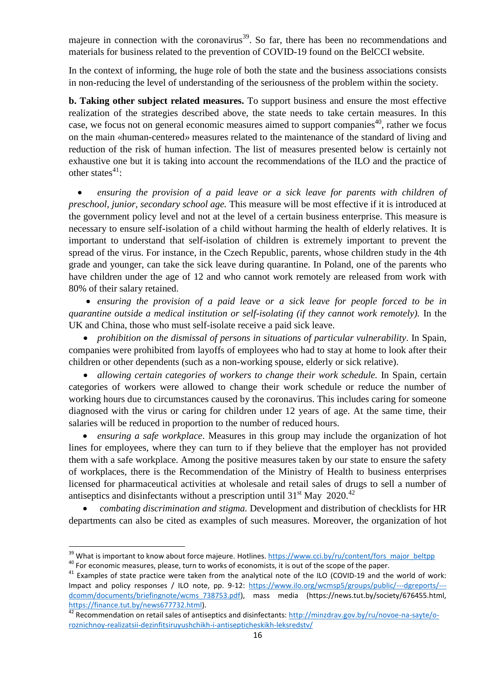majeure in connection with the coronavirus<sup>39</sup>. So far, there has been no recommendations and materials for business related to the prevention of COVID-19 found on the BelCCI website.

In the context of informing, the huge role of both the state and the business associations consists in non-reducing the level of understanding of the seriousness of the problem within the society.

**b. Taking other subject related measures.** To support business and ensure the most effective realization of the strategies described above, the state needs to take certain measures. In this case, we focus not on general economic measures aimed to support companies<sup>40</sup>, rather we focus on the main «human-centered» measures related to the maintenance of the standard of living and reduction of the risk of human infection. The list of measures presented below is certainly not exhaustive one but it is taking into account the recommendations of the ILO and the practice of other states $41$ :

 *ensuring the provision of a paid leave or a sick leave for parents with children of preschool, junior, secondary school age.* This measure will be most effective if it is introduced at the government policy level and not at the level of a certain business enterprise. This measure is necessary to ensure self-isolation of a child without harming the health of elderly relatives. It is important to understand that self-isolation of children is extremely important to prevent the spread of the virus. For instance, in the Czech Republic, parents, whose children study in the 4th grade and younger, can take the sick leave during quarantine. In Poland, one of the parents who have children under the age of 12 and who cannot work remotely are released from work with 80% of their salary retained.

 *ensuring the provision of a paid leave or a sick leave for people forced to be in quarantine outside a medical institution or self-isolating (if they cannot work remotely).* In the UK and China, those who must self-isolate receive a paid sick leave.

 *prohibition on the dismissal of persons in situations of particular vulnerability*. In Spain, companies were prohibited from layoffs of employees who had to stay at home to look after their children or other dependents (such as a non-working spouse, elderly or sick relative).

 *allowing certain categories of workers to change their work schedule.* In Spain, certain categories of workers were allowed to change their work schedule or reduce the number of working hours due to circumstances caused by the coronavirus. This includes caring for someone diagnosed with the virus or caring for children under 12 years of age. At the same time, their salaries will be reduced in proportion to the number of reduced hours.

 *ensuring a safe workplace*. Measures in this group may include the organization of hot lines for employees, where they can turn to if they believe that the employer has not provided them with a safe workplace. Among the positive measures taken by our state to ensure the safety of workplaces, there is the Recommendation of the Ministry of Health to business enterprises licensed for pharmaceutical activities at wholesale and retail sales of drugs to sell a number of antiseptics and disinfectants without a prescription until  $31<sup>st</sup>$  May 2020.<sup>42</sup>

 *combating discrimination and stigma.* Development and distribution of checklists for HR departments can also be cited as examples of such measures. Moreover, the organization of hot

<sup>&</sup>lt;sup>39</sup> What is important to know about force majeure. Hotlines. [https://www.cci.by/ru/content/fors\\_major\\_beltpp](https://www.cci.by/ru/content/fors_major_beltpp)

<sup>&</sup>lt;sup>40</sup> For economic measures, please, turn to works of economists, it is out of the scope of the paper.

 $41$  Examples of state practice were taken from the analytical note of the ILO (COVID-19 and the world of work: Impact and policy responses / ILO note, pp. 9-12: [https://www.ilo.org/wcmsp5/groups/public/---dgreports/--](https://www.ilo.org/wcmsp5/groups/public/---dgreports/---dcomm/documents/briefingnote/wcms_738753.pdf) dcomm/documents/briefingnote/wcms 738753.pdf), mass media (https://news.tut.by/society/676455.html, [https://finance.tut.by/news677732.html\)](https://finance.tut.by/news677732.html).

A2<br>A2 Recommendation on retail sales of antiseptics and disinfectants: [http://minzdrav.gov.by/ru/novoe-na-sayte/o](http://minzdrav.gov.by/ru/novoe-na-sayte/o-roznichnoy-realizatsii-dezinfitsiruyushchikh-i-antisepticheskikh-leksredstv/)[roznichnoy-realizatsii-dezinfitsiruyushchikh-i-antisepticheskikh-leksredstv/](http://minzdrav.gov.by/ru/novoe-na-sayte/o-roznichnoy-realizatsii-dezinfitsiruyushchikh-i-antisepticheskikh-leksredstv/)